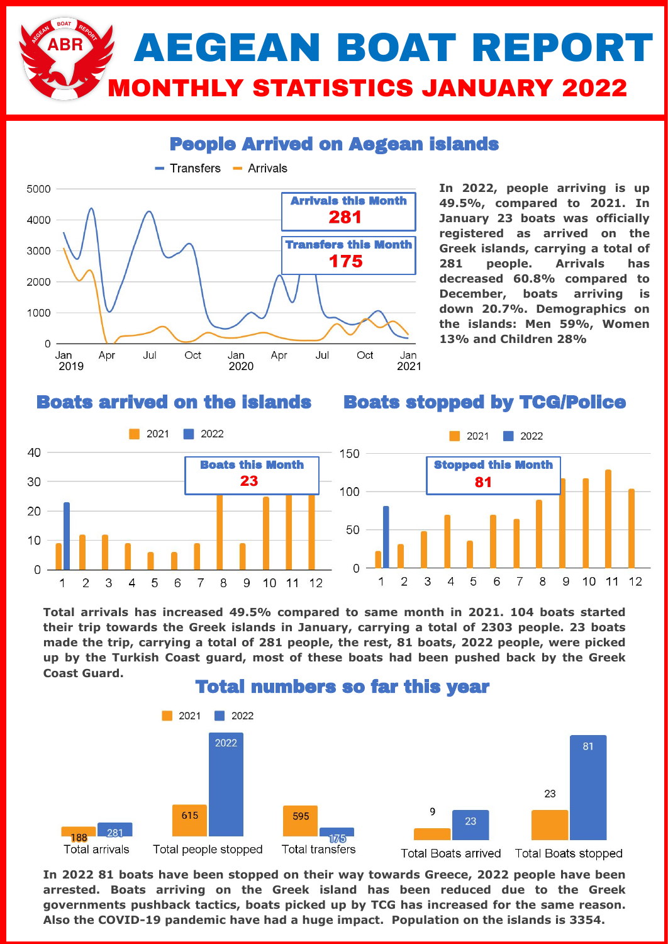## AEGEAN BOAT REPORT **ITHLY STATISTICS JANUARY 2022**

### People Arrived on Aegean islands



**In 2022, people arriving is up 49.5%, compared to 2021. In January 23 boats was officially registered as arrived on the Greek islands, carrying a total of 281 people. Arrivals has decreased 60.8% compared to December, boats arriving is down 20.7%. Demographics on the islands: Men 59%, Women 13% and Children 28%**

#### Boats arrived on the islands

#### Boats stopped by TCG/Police



**Total arrivals has increased 49.5% compared to same month in 2021. 104 boats started their trip towards the Greek islands in January, carrying a total of 2303 people. 23 boats made the trip, carrying a total of 281 people, the rest, 81 boats, 2022 people, were picked up by the Turkish Coast guard, most of these boats had been pushed back by the Greek Coast Guard.** 



**In 2022 81 boats have been stopped on their way towards Greece, 2022 people have been arrested. Boats arriving on the Greek island has been reduced due to the Greek governments pushback tactics, boats picked up by TCG has increased for the same reason. Also the COVID-19 pandemic have had a huge impact. Population on the islands is 3354.**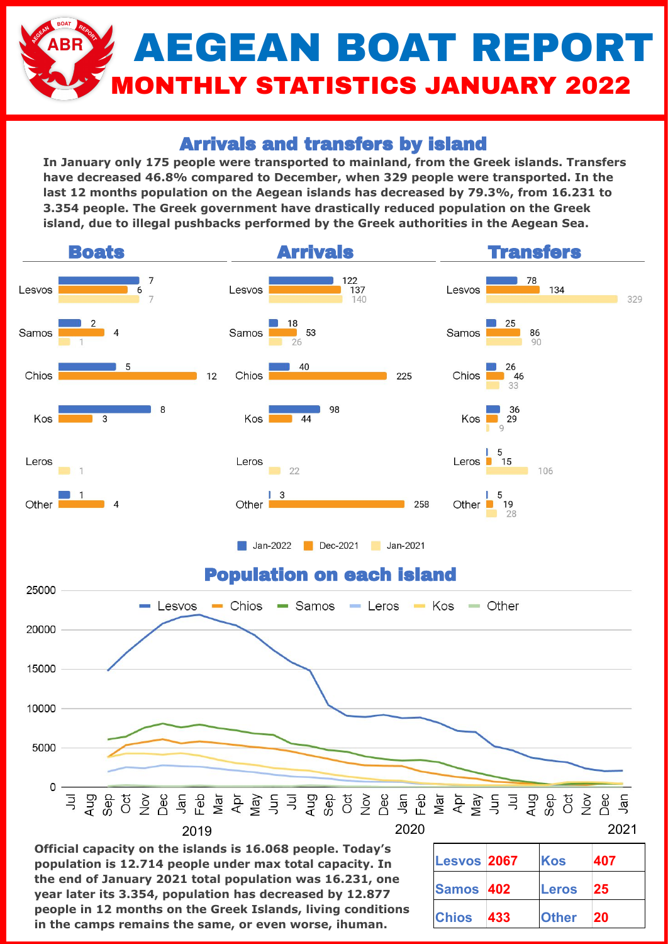# AEGEAN BOAT REPORT **ONTHLY STATISTICS JANUARY 2022**

## Arrivals and transfers by island

**In January only 175 people were transported to mainland, from the Greek islands. Transfers have decreased 46.8% compared to December, when 329 people were transported. In the last 12 months population on the Aegean islands has decreased by 79.3%, from 16.231 to 3.354 people. The Greek government have drastically reduced population on the Greek island, due to illegal pushbacks performed by the Greek authorities in the Aegean Sea.** 



**Official capacity on the islands is 16.068 people. Today's population is 12.714 people under max total capacity. In the end of January 2021 total population was 16.231, one year later its 3.354, population has decreased by 12.877 people in 12 months on the Greek Islands, living conditions in the camps remains the same, or even worse, ihuman.**

| <b>Lesvos 2067</b> |     | Kos          | 407       |
|--------------------|-----|--------------|-----------|
| Samos 402          |     | <b>Leros</b> | 25        |
| <b>Chios</b>       | 433 | <b>Other</b> | <b>20</b> |